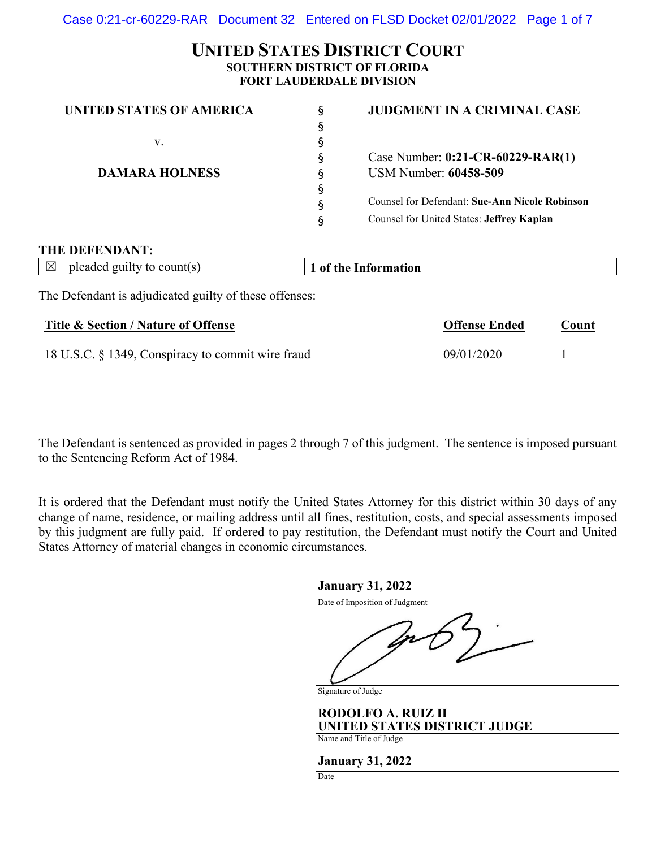# **UNITED STATES DISTRICT COURT SOUTHERN DISTRICT OF FLORIDA FORT LAUDERDALE DIVISION**

| UNITED STATES OF AMERICA | Ś. | <b>JUDGMENT IN A CRIMINAL CASE</b>                    |
|--------------------------|----|-------------------------------------------------------|
|                          | ş  |                                                       |
| v.                       | S. |                                                       |
|                          | ş  | Case Number: 0:21-CR-60229-RAR(1)                     |
| <b>DAMARA HOLNESS</b>    | ş  | USM Number: 60458-509                                 |
|                          | ş  |                                                       |
|                          | ş  | <b>Counsel for Defendant: Sue-Ann Nicole Robinson</b> |
|                          | ş  | Counsel for United States: Jeffrey Kaplan             |

#### **THE DEFENDANT:**

| $\boxtimes$ | pleaded guilty to count(s) | the Information.<br>$\mathbf{0}$ |  |  |
|-------------|----------------------------|----------------------------------|--|--|
|             |                            |                                  |  |  |

The Defendant is adjudicated guilty of these offenses:

| Title & Section / Nature of Offense               | <b>Offense Ended</b> | <u>Count</u> |
|---------------------------------------------------|----------------------|--------------|
| 18 U.S.C. § 1349, Conspiracy to commit wire fraud | 09/01/2020           |              |

The Defendant is sentenced as provided in pages 2 through 7 of this judgment. The sentence is imposed pursuant to the Sentencing Reform Act of 1984.

It is ordered that the Defendant must notify the United States Attorney for this district within 30 days of any change of name, residence, or mailing address until all fines, restitution, costs, and special assessments imposed by this judgment are fully paid. If ordered to pay restitution, the Defendant must notify the Court and United States Attorney of material changes in economic circumstances.

#### **January 31, 2022**

Date of Imposition of Judgment

Signature of Judge

**RODOLFO A. RUIZ II UNITED STATES DISTRICT JUDGE** Name and Title of Judge

**January 31, 2022**

Date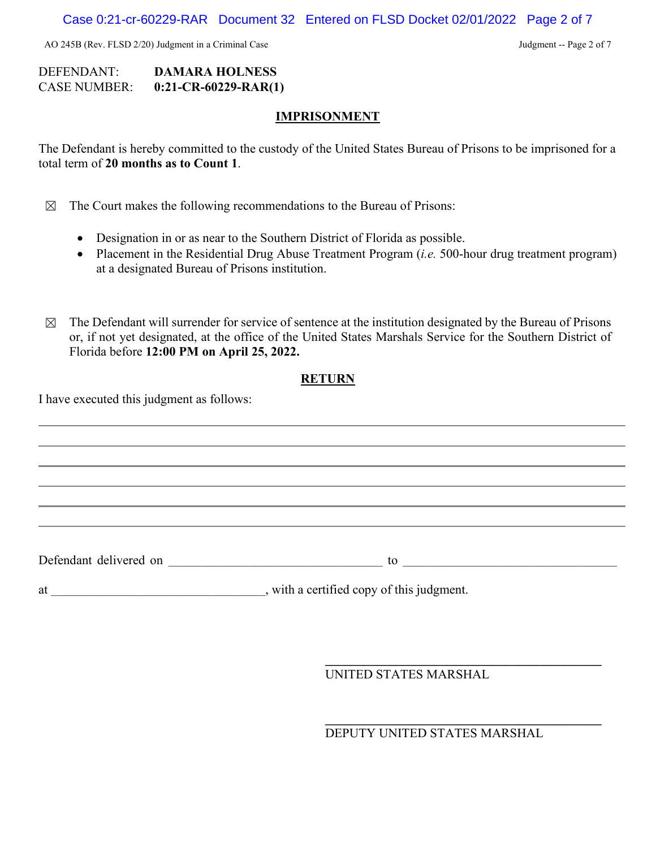AO 245B (Rev. FLSD 2/20) Judgment in a Criminal Case Judgment -- Page 2 of 7

## DEFENDANT: **DAMARA HOLNESS** CASE NUMBER: **0:21-CR-60229-RAR(1)**

### **IMPRISONMENT**

The Defendant is hereby committed to the custody of the United States Bureau of Prisons to be imprisoned for a total term of **20 months as to Count 1**.

- $\boxtimes$  The Court makes the following recommendations to the Bureau of Prisons:
	- Designation in or as near to the Southern District of Florida as possible.
	- Placement in the Residential Drug Abuse Treatment Program (*i.e.* 500-hour drug treatment program) at a designated Bureau of Prisons institution.
- $\boxtimes$  The Defendant will surrender for service of sentence at the institution designated by the Bureau of Prisons or, if not yet designated, at the office of the United States Marshals Service for the Southern District of Florida before **12:00 PM on April 25, 2022.**

## **RETURN**

I have executed this judgment as follows:

Defendant delivered on \_\_\_\_\_\_\_\_\_\_\_\_\_\_\_\_\_\_\_\_\_\_\_\_\_\_\_\_\_\_\_\_\_\_\_\_\_\_\_\_ to \_\_\_\_\_\_\_\_\_\_\_\_\_\_\_\_\_\_\_\_\_\_\_\_\_\_\_\_\_\_\_\_\_\_\_\_\_\_\_\_ at \_\_\_\_\_\_\_\_\_\_\_\_\_\_\_\_\_\_\_\_\_\_\_\_\_\_\_\_\_\_\_\_\_\_, with a certified copy of this judgment.

UNITED STATES MARSHAL

DEPUTY UNITED STATES MARSHAL

**\_\_\_\_\_\_\_\_\_\_\_\_\_\_\_\_\_\_\_\_\_\_\_\_\_\_\_\_\_\_\_\_\_\_\_\_\_\_\_\_\_\_\_**

**\_\_\_\_\_\_\_\_\_\_\_\_\_\_\_\_\_\_\_\_\_\_\_\_\_\_\_\_\_\_\_\_\_\_\_\_\_\_\_\_\_\_\_**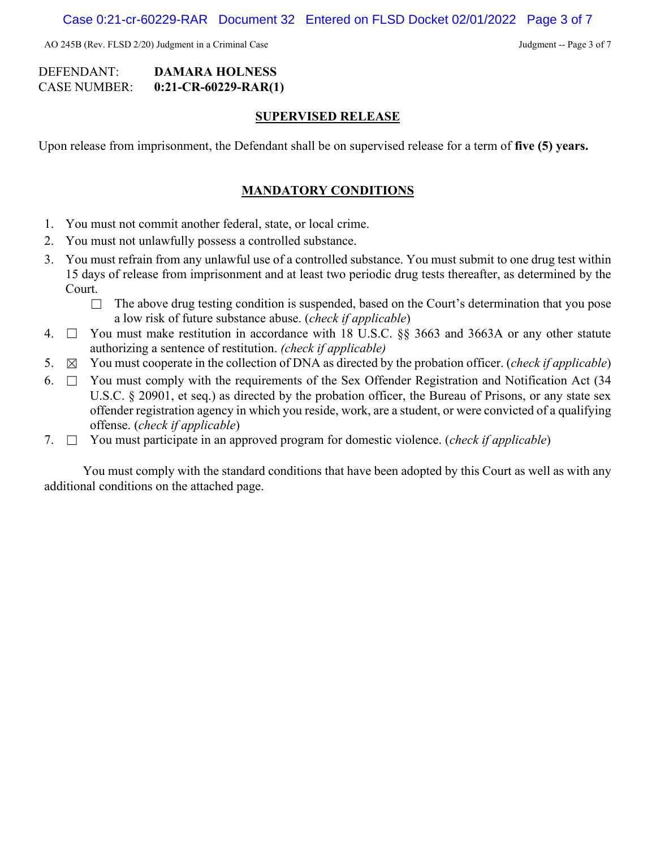AO 245B (Rev. FLSD 2/20) Judgment in a Criminal Case Judgment -- Page 3 of 7

## DEFENDANT: **DAMARA HOLNESS** CASE NUMBER: **0:21-CR-60229-RAR(1)**

#### **SUPERVISED RELEASE**

Upon release from imprisonment, the Defendant shall be on supervised release for a term of **five (5) years.**

### **MANDATORY CONDITIONS**

- 1. You must not commit another federal, state, or local crime.
- 2. You must not unlawfully possess a controlled substance.
- 3. You must refrain from any unlawful use of a controlled substance. You must submit to one drug test within 15 days of release from imprisonment and at least two periodic drug tests thereafter, as determined by the Court.
	- $\Box$  The above drug testing condition is suspended, based on the Court's determination that you pose a low risk of future substance abuse. (*check if applicable*)
- 4. ☐ You must make restitution in accordance with 18 U.S.C. §§ 3663 and 3663A or any other statute authorizing a sentence of restitution. *(check if applicable)*
- 5. ☒ You must cooperate in the collection of DNA as directed by the probation officer. (*check if applicable*)
- 6.  $\Box$  You must comply with the requirements of the Sex Offender Registration and Notification Act (34) U.S.C. § 20901, et seq.) as directed by the probation officer, the Bureau of Prisons, or any state sex offender registration agency in which you reside, work, are a student, or were convicted of a qualifying offense. (*check if applicable*)
- 7. ☐ You must participate in an approved program for domestic violence. (*check if applicable*)

You must comply with the standard conditions that have been adopted by this Court as well as with any additional conditions on the attached page.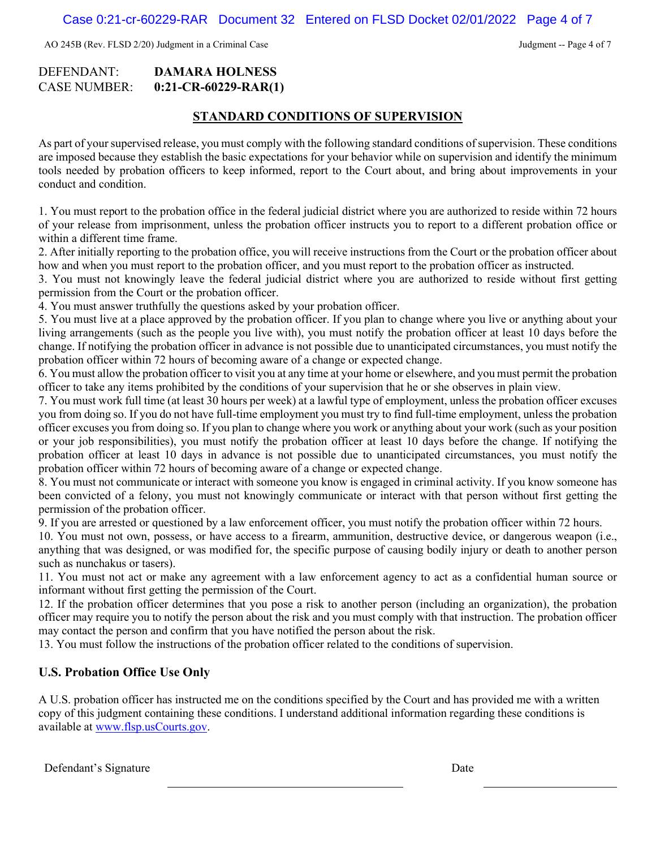AO 245B (Rev. FLSD 2/20) Judgment in a Criminal Case Judgment -- Page 4 of 7

#### DEFENDANT: **DAMARA HOLNESS** CASE NUMBER: **0:21-CR-60229-RAR(1)**

#### **STANDARD CONDITIONS OF SUPERVISION**

As part of your supervised release, you must comply with the following standard conditions of supervision. These conditions are imposed because they establish the basic expectations for your behavior while on supervision and identify the minimum tools needed by probation officers to keep informed, report to the Court about, and bring about improvements in your conduct and condition.

1. You must report to the probation office in the federal judicial district where you are authorized to reside within 72 hours of your release from imprisonment, unless the probation officer instructs you to report to a different probation office or within a different time frame.

2. After initially reporting to the probation office, you will receive instructions from the Court or the probation officer about how and when you must report to the probation officer, and you must report to the probation officer as instructed.

3. You must not knowingly leave the federal judicial district where you are authorized to reside without first getting permission from the Court or the probation officer.

4. You must answer truthfully the questions asked by your probation officer.

5. You must live at a place approved by the probation officer. If you plan to change where you live or anything about your living arrangements (such as the people you live with), you must notify the probation officer at least 10 days before the change. If notifying the probation officer in advance is not possible due to unanticipated circumstances, you must notify the probation officer within 72 hours of becoming aware of a change or expected change.

6. You must allow the probation officer to visit you at any time at your home or elsewhere, and you must permit the probation officer to take any items prohibited by the conditions of your supervision that he or she observes in plain view.

7. You must work full time (at least 30 hours per week) at a lawful type of employment, unless the probation officer excuses you from doing so. If you do not have full-time employment you must try to find full-time employment, unless the probation officer excuses you from doing so. If you plan to change where you work or anything about your work (such as your position or your job responsibilities), you must notify the probation officer at least 10 days before the change. If notifying the probation officer at least 10 days in advance is not possible due to unanticipated circumstances, you must notify the probation officer within 72 hours of becoming aware of a change or expected change.

8. You must not communicate or interact with someone you know is engaged in criminal activity. If you know someone has been convicted of a felony, you must not knowingly communicate or interact with that person without first getting the permission of the probation officer.

9. If you are arrested or questioned by a law enforcement officer, you must notify the probation officer within 72 hours.

10. You must not own, possess, or have access to a firearm, ammunition, destructive device, or dangerous weapon (i.e., anything that was designed, or was modified for, the specific purpose of causing bodily injury or death to another person such as nunchakus or tasers).

11. You must not act or make any agreement with a law enforcement agency to act as a confidential human source or informant without first getting the permission of the Court.

12. If the probation officer determines that you pose a risk to another person (including an organization), the probation officer may require you to notify the person about the risk and you must comply with that instruction. The probation officer may contact the person and confirm that you have notified the person about the risk.

13. You must follow the instructions of the probation officer related to the conditions of supervision.

## **U.S. Probation Office Use Only**

A U.S. probation officer has instructed me on the conditions specified by the Court and has provided me with a written copy of this judgment containing these conditions. I understand additional information regarding these conditions is available at [www.flsp.usCourts.gov.](http://www.flsp.uscourts.gov/)

Defendant's Signature Date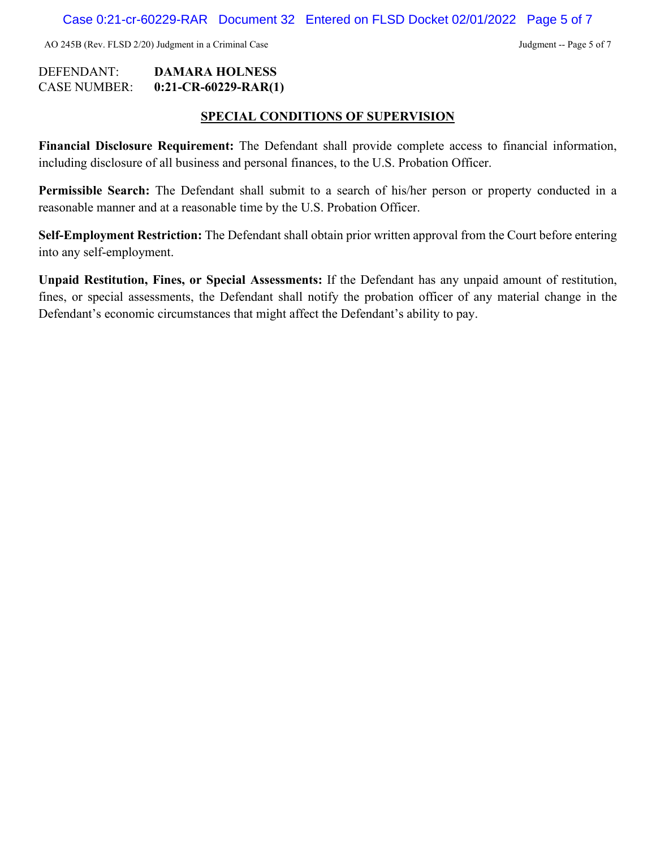AO 245B (Rev. FLSD 2/20) Judgment in a Criminal Case Judgment -- Page 5 of 7

## DEFENDANT: **DAMARA HOLNESS** CASE NUMBER: **0:21-CR-60229-RAR(1)**

## **SPECIAL CONDITIONS OF SUPERVISION**

**Financial Disclosure Requirement:** The Defendant shall provide complete access to financial information, including disclosure of all business and personal finances, to the U.S. Probation Officer.

**Permissible Search:** The Defendant shall submit to a search of his/her person or property conducted in a reasonable manner and at a reasonable time by the U.S. Probation Officer.

**Self-Employment Restriction:** The Defendant shall obtain prior written approval from the Court before entering into any self-employment.

**Unpaid Restitution, Fines, or Special Assessments:** If the Defendant has any unpaid amount of restitution, fines, or special assessments, the Defendant shall notify the probation officer of any material change in the Defendant's economic circumstances that might affect the Defendant's ability to pay.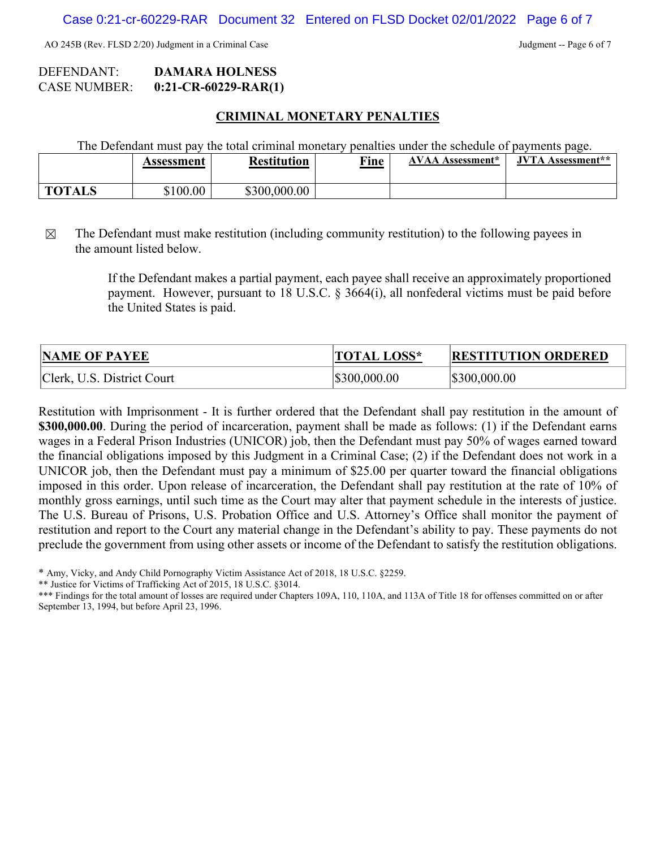AO 245B (Rev. FLSD 2/20) Judgment in a Criminal Case Judgment -- Page 6 of 7

## DEFENDANT: **DAMARA HOLNESS** CASE NUMBER: **0:21-CR-60229-RAR(1)**

#### **CRIMINAL MONETARY PENALTIES**

The Defendant must pay the total criminal monetary penalties under the schedule of payments page.

|               | Assessment | <b>Restitution</b> | Fine | Assessment* | <b>IVTA</b><br>Assessment** |
|---------------|------------|--------------------|------|-------------|-----------------------------|
| <b>TOTALS</b> | \$100.00   | \$300,000.00       |      |             |                             |

 $\boxtimes$  The Defendant must make restitution (including community restitution) to the following payees in the amount listed below.

> If the Defendant makes a partial payment, each payee shall receive an approximately proportioned payment. However, pursuant to 18 U.S.C. § 3664(i), all nonfederal victims must be paid before the United States is paid.

| <b>NAME OF PAYEE</b>       | <b>TOTAL LOSS*</b> | <b>RESTITUTION ORDERED</b> |
|----------------------------|--------------------|----------------------------|
| Clerk, U.S. District Court | \$300,000.00       | \$300,000.00               |

Restitution with Imprisonment - It is further ordered that the Defendant shall pay restitution in the amount of **\$300,000.00**. During the period of incarceration, payment shall be made as follows: (1) if the Defendant earns wages in a Federal Prison Industries (UNICOR) job, then the Defendant must pay 50% of wages earned toward the financial obligations imposed by this Judgment in a Criminal Case; (2) if the Defendant does not work in a UNICOR job, then the Defendant must pay a minimum of \$25.00 per quarter toward the financial obligations imposed in this order. Upon release of incarceration, the Defendant shall pay restitution at the rate of 10% of monthly gross earnings, until such time as the Court may alter that payment schedule in the interests of justice. The U.S. Bureau of Prisons, U.S. Probation Office and U.S. Attorney's Office shall monitor the payment of restitution and report to the Court any material change in the Defendant's ability to pay. These payments do not preclude the government from using other assets or income of the Defendant to satisfy the restitution obligations.

\*\* Justice for Victims of Trafficking Act of 2015, 18 U.S.C. §3014.

\*\*\* Findings for the total amount of losses are required under Chapters 109A, 110, 110A, and 113A of Title 18 for offenses committed on or after September 13, 1994, but before April 23, 1996.

<sup>\*</sup> Amy, Vicky, and Andy Child Pornography Victim Assistance Act of 2018, 18 U.S.C. §2259.